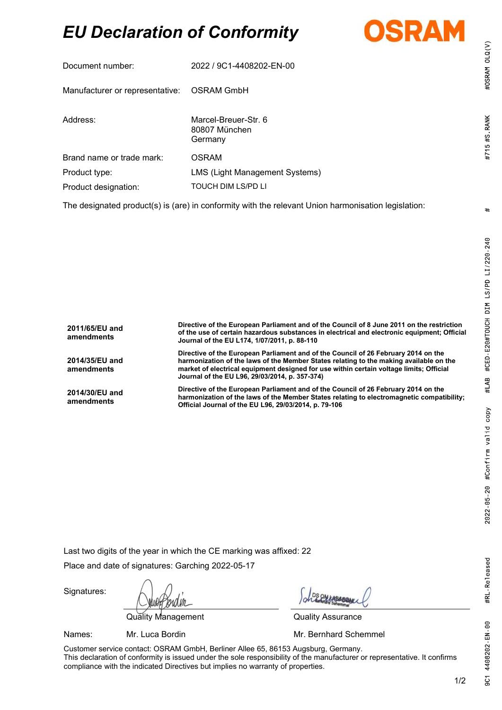# EU Declaration of Conformity



| Document number:                                                                                     | 2022 / 9C1-4408202-EN-00                         |  |
|------------------------------------------------------------------------------------------------------|--------------------------------------------------|--|
| Manufacturer or representative: OSRAM GmbH                                                           |                                                  |  |
| Address:                                                                                             | Marcel-Breuer-Str. 6<br>80807 München<br>Germany |  |
| Brand name or trade mark:                                                                            | <b>OSRAM</b>                                     |  |
| Product type:                                                                                        | LMS (Light Management Systems)                   |  |
| Product designation:                                                                                 | <b>TOUCH DIM LS/PD LI</b>                        |  |
| The decisional producted is fore) in confermity with the relaxant Union because pication legislation |                                                  |  |

The designated product(s) is (are) in conformity with the relevant Union harmonisation legislation:

| 2011/65/EU and<br>amendments | Directive of the European Parliament and of the Council of 8 June 2011 on the restriction<br>of the use of certain hazardous substances in electrical and electronic equipment; Official<br>Journal of the EU L174, 1/07/2011, p. 88-110                                                                                  |
|------------------------------|---------------------------------------------------------------------------------------------------------------------------------------------------------------------------------------------------------------------------------------------------------------------------------------------------------------------------|
| 2014/35/EU and<br>amendments | Directive of the European Parliament and of the Council of 26 February 2014 on the<br>harmonization of the laws of the Member States relating to the making available on the<br>market of electrical equipment designed for use within certain voltage limits; Official<br>Journal of the EU L96, 29/03/2014, p. 357-374) |
| 2014/30/EU and<br>amendments | Directive of the European Parliament and of the Council of 26 February 2014 on the<br>harmonization of the laws of the Member States relating to electromagnetic compatibility;<br>Official Journal of the EU L96, 29/03/2014, p. 79-106                                                                                  |

Last two digits of the year in which the CE marking was affixed: 22

Place and date of signatures: Garching 2022-05-17

Quality Management Quality Assurance

Signatures:

Names: Mr. Luca Bordin Mr. **Mr. Bernhard Schemmel** 

Customer service contact: OSRAM GmbH, Berliner Allee 65, 86153 Augsburg, Germany. This declaration of conformity is issued under the sole responsibility of the manufacturer or representative. It confirms compliance with the indicated Directives but implies no warranty of properties.

#OSRAM OLQ(V)

#715 #S RANK